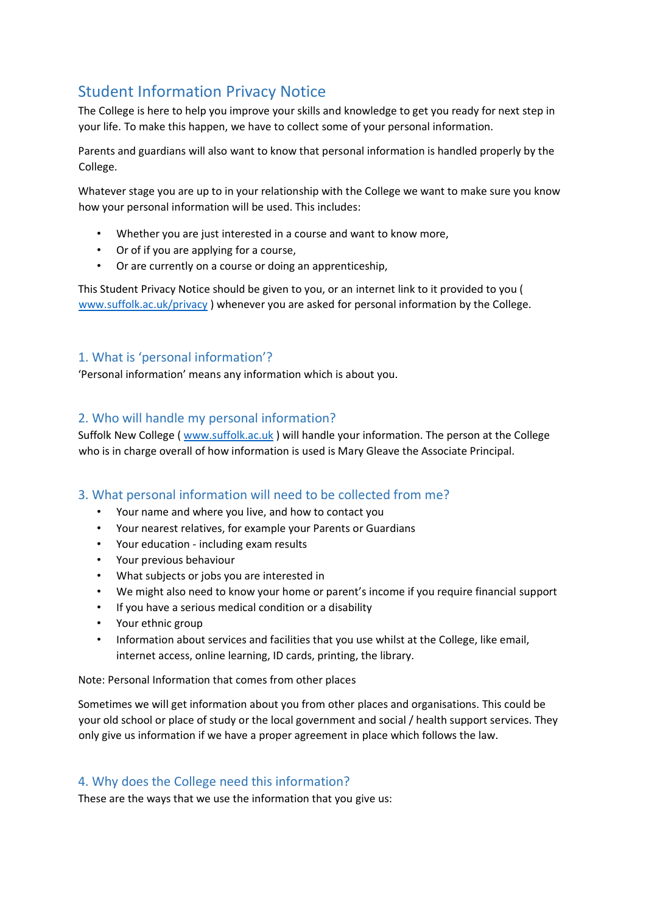# Student Information Privacy Notice

The College is here to help you improve your skills and knowledge to get you ready for next step in your life. To make this happen, we have to collect some of your personal information.

Parents and guardians will also want to know that personal information is handled properly by the College.

Whatever stage you are up to in your relationship with the College we want to make sure you know how your personal information will be used. This includes:

- Whether you are just interested in a course and want to know more,
- Or of if you are applying for a course,
- Or are currently on a course or doing an apprenticeship,

This Student Privacy Notice should be given to you, or an internet link to it provided to you ( [www.suffolk.ac.uk/privacy](http://www.suffolk.ac.uk/privacy) ) whenever you are asked for personal information by the College.

# 1. What is 'personal information'?

'Personal information' means any information which is about you.

## 2. Who will handle my personal information?

Suffolk New College ( [www.suffolk.ac.uk](http://www.suffolk.ac.uk/) [\)](http://www.suffolk.ac.uk/) will handle your information. The person at the College who is in charge overall of how information is used is Mary Gleave the Associate Principal.

## 3. What personal information will need to be collected from me?

- Your name and where you live, and how to contact you
- Your nearest relatives, for example your Parents or Guardians
- Your education including exam results
- Your previous behaviour
- What subjects or jobs you are interested in
- We might also need to know your home or parent's income if you require financial support
- If you have a serious medical condition or a disability
- Your ethnic group
- Information about services and facilities that you use whilst at the College, like email, internet access, online learning, ID cards, printing, the library.

Note: Personal Information that comes from other places

Sometimes we will get information about you from other places and organisations. This could be your old school or place of study or the local government and social / health support services. They only give us information if we have a proper agreement in place which follows the law.

## 4. Why does the College need this information?

These are the ways that we use the information that you give us: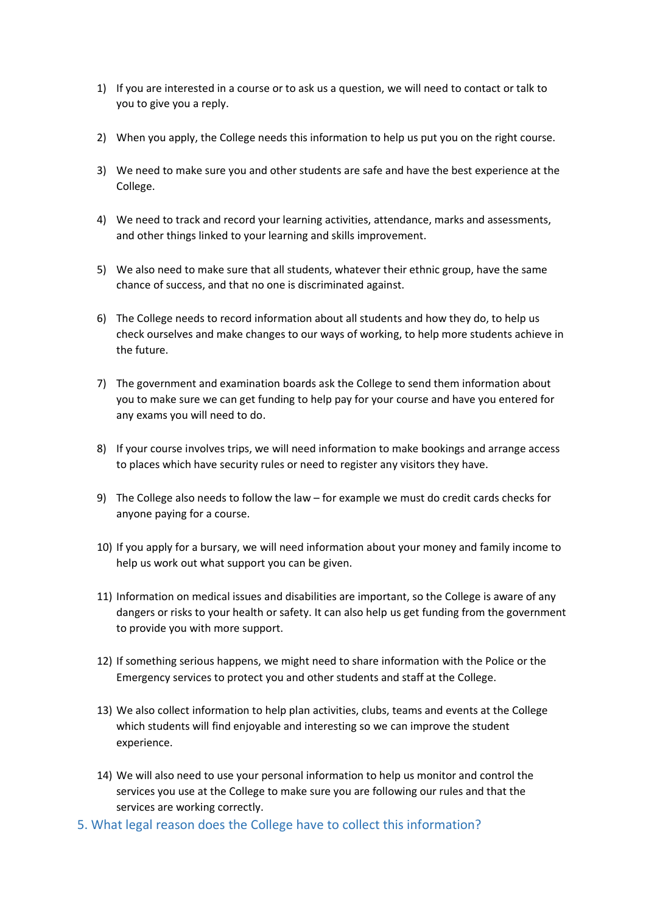- 1) If you are interested in a course or to ask us a question, we will need to contact or talk to you to give you a reply.
- 2) When you apply, the College needs this information to help us put you on the right course.
- 3) We need to make sure you and other students are safe and have the best experience at the College.
- 4) We need to track and record your learning activities, attendance, marks and assessments, and other things linked to your learning and skills improvement.
- 5) We also need to make sure that all students, whatever their ethnic group, have the same chance of success, and that no one is discriminated against.
- 6) The College needs to record information about all students and how they do, to help us check ourselves and make changes to our ways of working, to help more students achieve in the future.
- 7) The government and examination boards ask the College to send them information about you to make sure we can get funding to help pay for your course and have you entered for any exams you will need to do.
- 8) If your course involves trips, we will need information to make bookings and arrange access to places which have security rules or need to register any visitors they have.
- 9) The College also needs to follow the law for example we must do credit cards checks for anyone paying for a course.
- 10) If you apply for a bursary, we will need information about your money and family income to help us work out what support you can be given.
- 11) Information on medical issues and disabilities are important, so the College is aware of any dangers or risks to your health or safety. It can also help us get funding from the government to provide you with more support.
- 12) If something serious happens, we might need to share information with the Police or the Emergency services to protect you and other students and staff at the College.
- 13) We also collect information to help plan activities, clubs, teams and events at the College which students will find enjoyable and interesting so we can improve the student experience.
- 14) We will also need to use your personal information to help us monitor and control the services you use at the College to make sure you are following our rules and that the services are working correctly.
- 5. What legal reason does the College have to collect this information?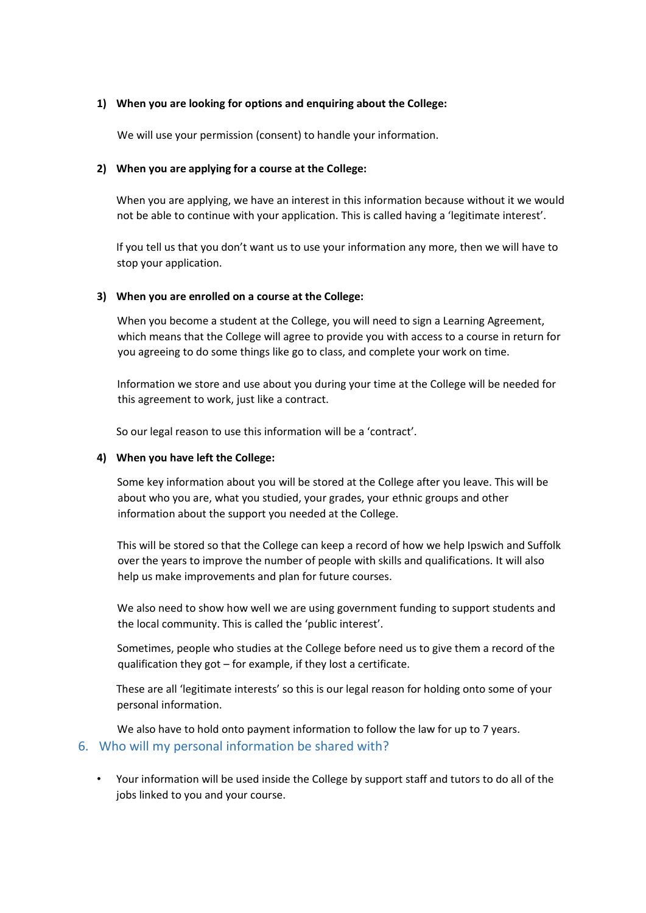#### **1) When you are looking for options and enquiring about the College:**

We will use your permission (consent) to handle your information.

## **2) When you are applying for a course at the College:**

When you are applying, we have an interest in this information because without it we would not be able to continue with your application. This is called having a 'legitimate interest'.

If you tell us that you don't want us to use your information any more, then we will have to stop your application.

#### **3) When you are enrolled on a course at the College:**

When you become a student at the College, you will need to sign a Learning Agreement, which means that the College will agree to provide you with access to a course in return for you agreeing to do some things like go to class, and complete your work on time.

Information we store and use about you during your time at the College will be needed for this agreement to work, just like a contract.

So our legal reason to use this information will be a 'contract'.

## **4) When you have left the College:**

Some key information about you will be stored at the College after you leave. This will be about who you are, what you studied, your grades, your ethnic groups and other information about the support you needed at the College.

This will be stored so that the College can keep a record of how we help Ipswich and Suffolk over the years to improve the number of people with skills and qualifications. It will also help us make improvements and plan for future courses.

We also need to show how well we are using government funding to support students and the local community. This is called the 'public interest'.

Sometimes, people who studies at the College before need us to give them a record of the qualification they got – for example, if they lost a certificate.

These are all 'legitimate interests' so this is our legal reason for holding onto some of your personal information.

We also have to hold onto payment information to follow the law for up to 7 years. 6. Who will my personal information be shared with?

• Your information will be used inside the College by support staff and tutors to do all of the jobs linked to you and your course.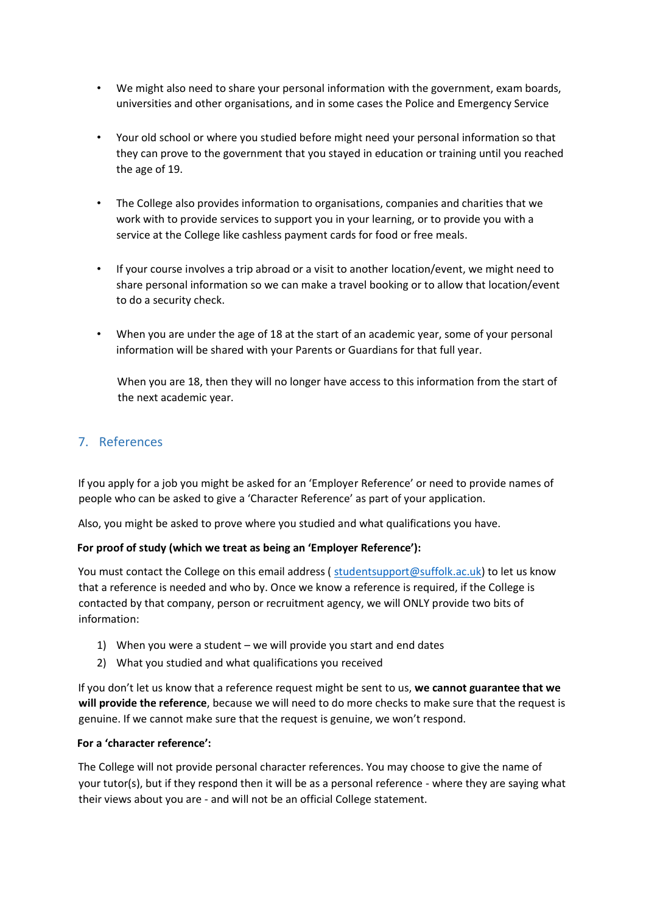- We might also need to share your personal information with the government, exam boards, universities and other organisations, and in some cases the Police and Emergency Service
- Your old school or where you studied before might need your personal information so that they can prove to the government that you stayed in education or training until you reached the age of 19.
- The College also provides information to organisations, companies and charities that we work with to provide services to support you in your learning, or to provide you with a service at the College like cashless payment cards for food or free meals.
- If your course involves a trip abroad or a visit to another location/event, we might need to share personal information so we can make a travel booking or to allow that location/event to do a security check.
- When you are under the age of 18 at the start of an academic year, some of your personal information will be shared with your Parents or Guardians for that full year.

When you are 18, then they will no longer have access to this information from the start of the next academic year.

# 7. References

If you apply for a job you might be asked for an 'Employer Reference' or need to provide names of people who can be asked to give a 'Character Reference' as part of your application.

Also, you might be asked to prove where you studied and what qualifications you have.

## **For proof of study (which we treat as being an 'Employer Reference'):**

You must contact the College on this email address (studentsupport@suffolk.ac.uk) to let us know that a reference is needed and who by. Once we know a reference is required, if the College is contacted by that company, person or recruitment agency, we will ONLY provide two bits of information:

- 1) When you were a student we will provide you start and end dates
- 2) What you studied and what qualifications you received

If you don't let us know that a reference request might be sent to us, **we cannot guarantee that we will provide the reference**, because we will need to do more checks to make sure that the request is genuine. If we cannot make sure that the request is genuine, we won't respond.

#### **For a 'character reference':**

The College will not provide personal character references. You may choose to give the name of your tutor(s), but if they respond then it will be as a personal reference - where they are saying what their views about you are - and will not be an official College statement.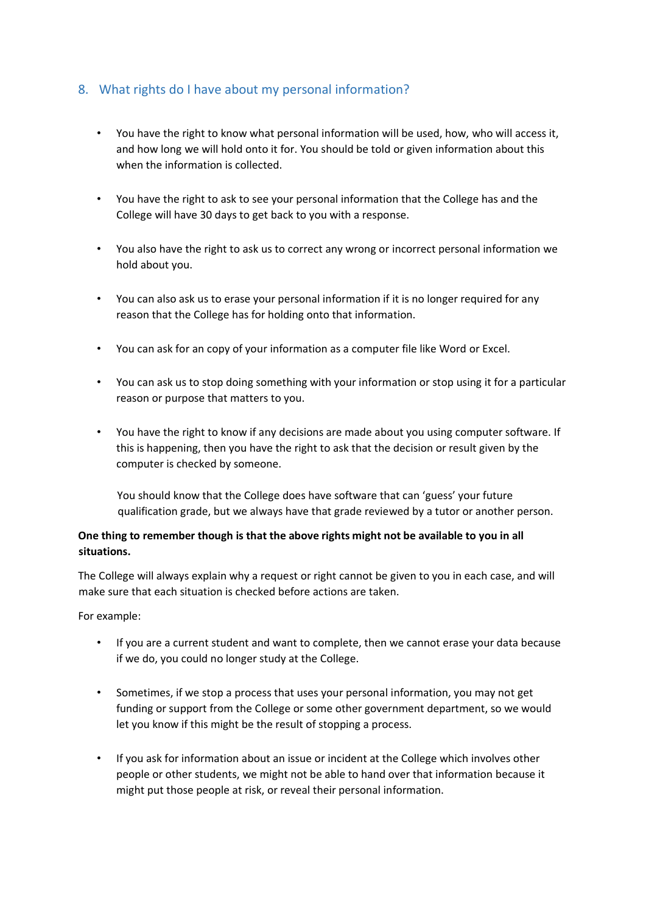# 8. What rights do I have about my personal information?

- You have the right to know what personal information will be used, how, who will access it, and how long we will hold onto it for. You should be told or given information about this when the information is collected.
- You have the right to ask to see your personal information that the College has and the College will have 30 days to get back to you with a response.
- You also have the right to ask us to correct any wrong or incorrect personal information we hold about you.
- You can also ask us to erase your personal information if it is no longer required for any reason that the College has for holding onto that information.
- You can ask for an copy of your information as a computer file like Word or Excel.
- You can ask us to stop doing something with your information or stop using it for a particular reason or purpose that matters to you.
- You have the right to know if any decisions are made about you using computer software. If this is happening, then you have the right to ask that the decision or result given by the computer is checked by someone.

You should know that the College does have software that can 'guess' your future qualification grade, but we always have that grade reviewed by a tutor or another person.

## **One thing to remember though is that the above rights might not be available to you in all situations.**

The College will always explain why a request or right cannot be given to you in each case, and will make sure that each situation is checked before actions are taken.

For example:

- If you are a current student and want to complete, then we cannot erase your data because if we do, you could no longer study at the College.
- Sometimes, if we stop a process that uses your personal information, you may not get funding or support from the College or some other government department, so we would let you know if this might be the result of stopping a process.
- If you ask for information about an issue or incident at the College which involves other people or other students, we might not be able to hand over that information because it might put those people at risk, or reveal their personal information.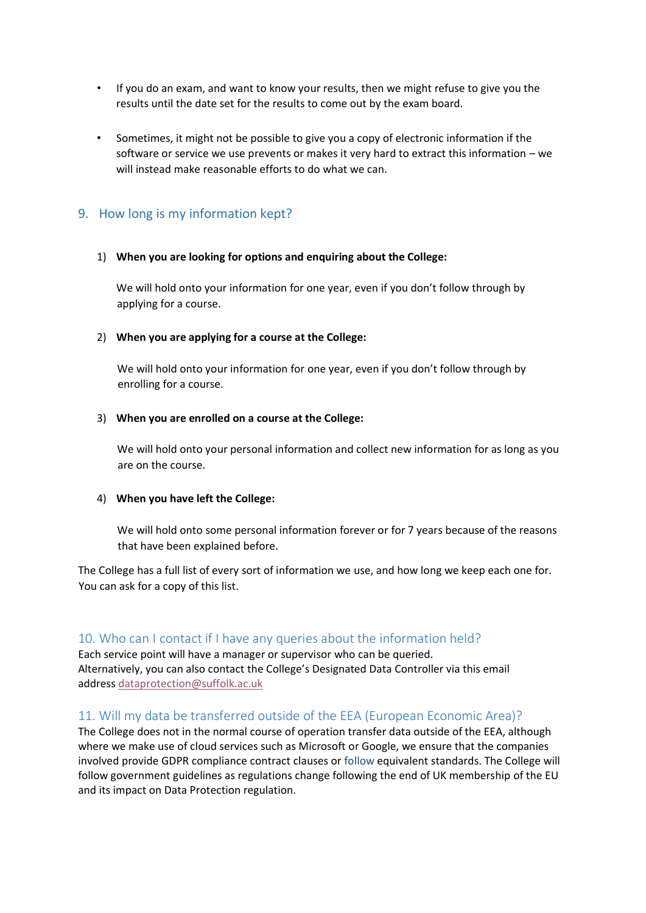- If you do an exam, and want to know your results, then we might refuse to give you the results until the date set for the results to come out by the exam board.
- Sometimes, it might not be possible to give you a copy of electronic information if the software or service we use prevents or makes it very hard to extract this information – we will instead make reasonable efforts to do what we can.

## 9. How long is my information kept?

#### 1) **When you are looking for options and enquiring about the College:**

We will hold onto your information for one year, even if you don't follow through by applying for a course.

#### 2) **When you are applying for a course at the College:**

We will hold onto your information for one year, even if you don't follow through by enrolling for a course.

#### 3) **When you are enrolled on a course at the College:**

We will hold onto your personal information and collect new information for as long as you are on the course.

#### 4) **When you have left the College:**

We will hold onto some personal information forever or for 7 years because of the reasons that have been explained before.

The College has a full list of every sort of information we use, and how long we keep each one for. You can ask for a copy of this list.

#### 10. Who can I contact if I have any queries about the information held?

Each service point will have a manager or supervisor who can be queried. Alternatively, you can also contact the College's Designated Data Controller via this email address [dataprotection@suffolk.ac.uk](mailto:dataprotection@suffolk.ac.uk)

## 11. Will my data be transferred outside of the EEA (European Economic Area)?

The College does not in the normal course of operation transfer data outside of the EEA, although where we make use of cloud services such as Microsoft or Google, we ensure that the companies involved provide GDPR compliance contract clauses or follow equivalent standards. The College will follow government guidelines as regulations change following the end of UK membership of the EU and its impact on Data Protection regulation.